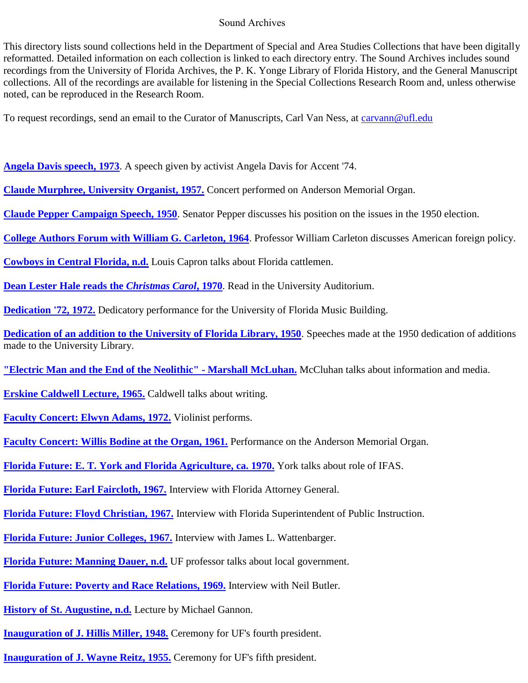## Sound Archives

This directory lists sound collections held in the Department of Special and Area Studies Collections that have been digitally reformatted. Detailed information on each collection is linked to each directory entry. The Sound Archives includes sound recordings from the University of Florida Archives, the P. K. Yonge Library of Florida History, and the General Manuscript collections. All of the recordings are available for listening in the Special Collections Research Room and, unless otherwise noted, can be reproduced in the Research Room.

To request recordings, send an email to the Curator of Manuscripts, Carl Van Ness, at [carvann@ufl.edu](mailto:carvann@ufl.edu)

- **[Angela Davis speech, 1973](https://findingaids.uflib.ufl.edu/repositories/2/resources/1383)**. A speech given by activist Angela Davis for Accent '74.
- **[Claude Murphree, University Organist, 1957.](#page-5-0)** Concert performed on Anderson Memorial Organ.
- **[Claude Pepper Campaign Speech, 1950](https://findingaids.uflib.ufl.edu/repositories/2/resources/1385)**. Senator Pepper discusses his position on the issues in the 1950 election.
- **[College Authors Forum with William G. Carleton, 1964](https://findingaids.uflib.ufl.edu/repositories/2/resources/1388)**. Professor William Carleton discusses American foreign policy.
- **[Cowboys in Central Florida, n.d.](#page-3-0)** Louis Capron talks about Florida cattlemen.
- **[Dean Lester Hale reads the](#page-37-0)** *Christmas Carol***, 1970**. Read in the University Auditorium.
- **[Dedication '72, 1972.](#page-7-0)** Dedicatory performance for the University of Florida Music Building.
- **[Dedication of an addition to the University of Florida Library, 1950](https://findingaids.uflib.ufl.edu/repositories/2/resources/1392)**. Speeches made at the 1950 dedication of additions made to the University Library.
- **["Electric Man and the End of the Neolithic" -](#page-25-0) Marshall McLuhan.** McCluhan talks about information and media.
- **[Erskine Caldwell Lecture, 1965.](#page-29-0)** Caldwell talks about writing.
- **[Faculty Concert: Elwyn Adams, 1972.](#page-36-0)** Violinist performs.
- **[Faculty Concert: Willis Bodine at the Organ, 1961.](#page-10-0)** Performance on the Anderson Memorial Organ.
- **[Florida Future: E. T. York and Florida Agriculture, ca. 1970.](#page-35-0)** York talks about role of IFAS.
- **[Florida Future: Earl Faircloth, 1967.](#page-9-0)** Interview with Florida Attorney General.
- **[Florida Future: Floyd Christian, 1967.](#page-12-0)** Interview with Florida Superintendent of Public Instruction.
- **[Florida Future: Junior Colleges, 1967.](#page-11-0)** Interview with James L. Wattenbarger.
- **[Florida Future: Manning Dauer, n.d.](#page-31-0)** UF professor talks about local government.
- **[Florida Future: Poverty and Race Relations, 1969.](#page-13-0)** Interview with Neil Butler.
- **[History of St. Augustine, n.d.](#page-16-0)** Lecture by Michael Gannon.
- **[Inauguration of J. Hillis Miller, 1948.](#page-22-0)** Ceremony for UF's fourth president.
- **[Inauguration of J. Wayne Reitz, 1955.](#page-26-0)** Ceremony for UF's fifth president.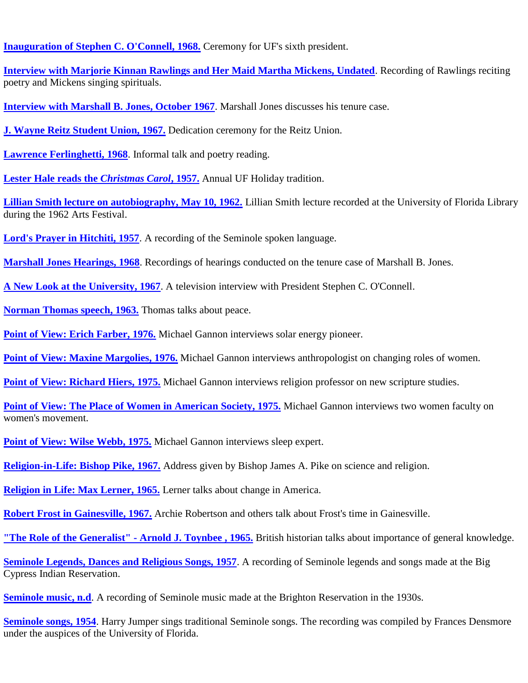**[Inauguration of Stephen C. O'Connell, 1968.](#page-15-0)** Ceremony for UF's sixth president.

**[Interview with Marjorie Kinnan Rawlings and Her Maid Martha Mickens, Undated](https://findingaids.uflib.ufl.edu/repositories/2/resources/1377)**. Recording of Rawlings reciting poetry and Mickens singing spirituals.

**[Interview with Marshall B. Jones, October 1967](https://findingaids.uflib.ufl.edu/repositories/2/resources/1379)**. Marshall Jones discusses his tenure case.

**[J. Wayne Reitz Student Union, 1967.](#page-4-0)** Dedication ceremony for the Reitz Union.

**[Lawrence Ferlinghetti, 1968](https://findingaids.uflib.ufl.edu/repositories/2/resources/1387)**. Informal talk and poetry reading.

**[Lester Hale reads the](#page-5-0)** *Christmas Carol***, 1957.** Annual UF Holiday tradition.

**[Lillian Smith lecture on autobiography, May 10, 1962.](https://findingaids.uflib.ufl.edu/repositories/2/resources/1389)** Lillian Smith lecture recorded at the University of Florida Library during the 1962 Arts Festival.

**[Lord's Prayer in Hitchiti, 1957](https://findingaids.uflib.ufl.edu/repositories/2/resources/1378)**. A recording of the Seminole spoken language.

**[Marshall Jones Hearings, 1968](https://findingaids.uflib.ufl.edu/repositories/2/resources/1390)**. Recordings of hearings conducted on the tenure case of Marshall B. Jones.

**[A New Look at the University, 1967](https://findingaids.uflib.ufl.edu/repositories/2/resources/1386)**. A television interview with President Stephen C. O'Connell.

**[Norman Thomas speech, 1963.](#page-33-0)** Thomas talks about peace.

**[Point of View: Erich Farber, 1976.](#page-18-0)** Michael Gannon interviews solar energy pioneer.

**[Point of View: Maxine Margolies, 1976.](#page-17-0)** Michael Gannon interviews anthropologist on changing roles of women.

**[Point of View: Richard Hiers, 1975.](#page-21-0)** Michael Gannon interviews religion professor on new scripture studies.

**Point of View: [The Place of Women in American Society, 1975.](#page-20-0)** Michael Gannon interviews two women faculty on women's movement.

**[Point of View: Wilse Webb, 1975.](#page-19-0)** Michael Gannon interviews sleep expert.

**[Religion-in-Life: Bishop Pike, 1967.](#page-8-0)** Address given by Bishop James A. Pike on science and religion.

**[Religion in Life: Max Lerner, 1965.](#page-32-0)** Lerner talks about change in America.

**[Robert Frost in Gainesville, 1967.](#page-27-0)** Archie Robertson and others talk about Frost's time in Gainesville.

**["The Role of the Generalist" -](#page-28-0) Arnold J. Toynbee , 1965.** British historian talks about importance of general knowledge.

**[Seminole Legends, Dances and Religious Songs, 1957](https://findingaids.uflib.ufl.edu/repositories/2/resources/1382)**. A recording of Seminole legends and songs made at the Big Cypress Indian Reservation.

**[Seminole music, n.d](https://findingaids.uflib.ufl.edu/repositories/2/resources/1381).** A recording of Seminole music made at the Brighton Reservation in the 1930s.

**[Seminole songs, 1954](https://findingaids.uflib.ufl.edu/repositories/2/resources/1384).** Harry Jumper sings traditional Seminole songs. The recording was compiled by Frances Densmore under the auspices of the University of Florida.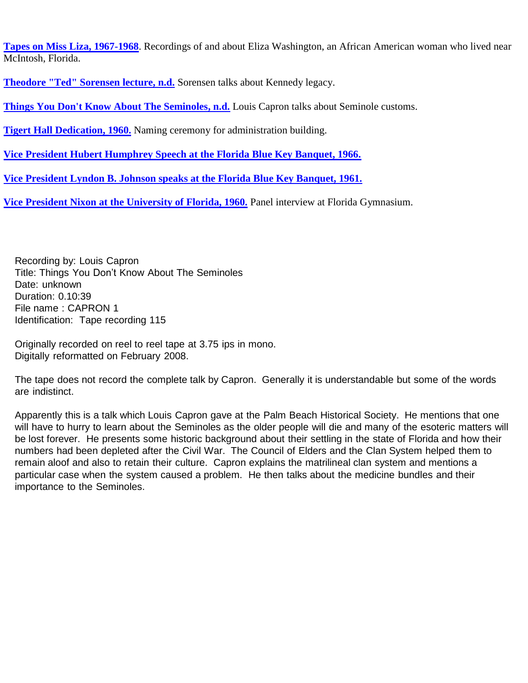**[Tapes on Miss Liza, 1967-1968](https://findingaids.uflib.ufl.edu/repositories/2/resources/1380)**. Recordings of and about Eliza Washington, an African American woman who lived near McIntosh, Florida.

**[Theodore "Ted" Sorensen lecture, n.d.](#page-6-0)** Sorensen talks about Kennedy legacy.

**[Things You Don't Know About The Seminoles, n.d.](#page-2-0)** Louis Capron talks about Seminole customs.

**[Tigert Hall Dedication, 1960.](#page-24-0)** Naming ceremony for administration building.

**[Vice President Hubert Humphrey Speech at the Florida Blue Key Banquet, 1966.](#page-30-0)**

**[Vice President Lyndon B. Johnson speaks at the Florida Blue Key Banquet, 1961.](#page-34-0)**

**[Vice President Nixon at the University of Florida, 1960.](#page-23-0)** Panel interview at Florida Gymnasium.

Recording by: Louis Capron Title: Things You Don't Know About The Seminoles Date: unknown Duration: 0.10:39 File name : CAPRON 1 Identification: Tape recording 115

<span id="page-2-0"></span>Originally recorded on reel to reel tape at 3.75 ips in mono. Digitally reformatted on February 2008.

The tape does not record the complete talk by Capron. Generally it is understandable but some of the words are indistinct.

Apparently this is a talk which Louis Capron gave at the Palm Beach Historical Society. He mentions that one will have to hurry to learn about the Seminoles as the older people will die and many of the esoteric matters will be lost forever. He presents some historic background about their settling in the state of Florida and how their numbers had been depleted after the Civil War. The Council of Elders and the Clan System helped them to remain aloof and also to retain their culture. Capron explains the matrilineal clan system and mentions a particular case when the system caused a problem. He then talks about the medicine bundles and their importance to the Seminoles.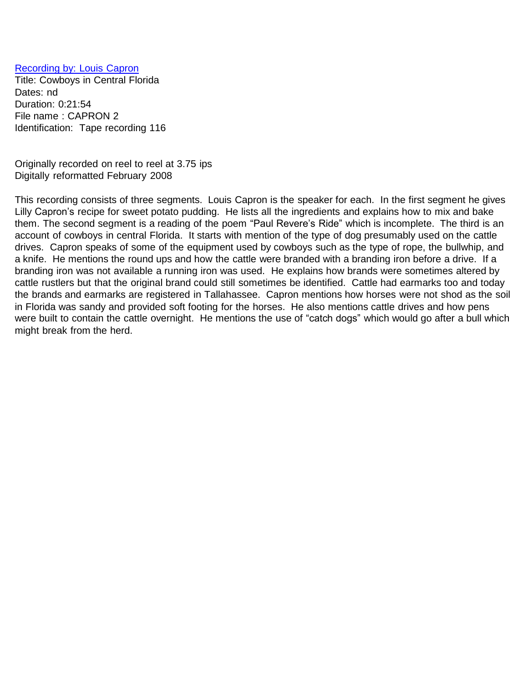## <span id="page-3-0"></span>[Recording](#page-3-0) by: Louis Capron

Title: Cowboys in Central Florida Dates: nd Duration: 0:21:54 File name : CAPRON 2 Identification: Tape recording 116

Originally recorded on reel to reel at 3.75 ips Digitally reformatted February 2008

This recording consists of three segments. Louis Capron is the speaker for each. In the first segment he gives Lilly Capron's recipe for sweet potato pudding. He lists all the ingredients and explains how to mix and bake them. The second segment is a reading of the poem "Paul Revere's Ride" which is incomplete. The third is an account of cowboys in central Florida. It starts with mention of the type of dog presumably used on the cattle drives. Capron speaks of some of the equipment used by cowboys such as the type of rope, the bullwhip, and a knife. He mentions the round ups and how the cattle were branded with a branding iron before a drive. If a branding iron was not available a running iron was used. He explains how brands were sometimes altered by cattle rustlers but that the original brand could still sometimes be identified. Cattle had earmarks too and today the brands and earmarks are registered in Tallahassee. Capron mentions how horses were not shod as the soil in Florida was sandy and provided soft footing for the horses. He also mentions cattle drives and how pens were built to contain the cattle overnight. He mentions the use of "catch dogs" which would go after a bull which might break from the herd.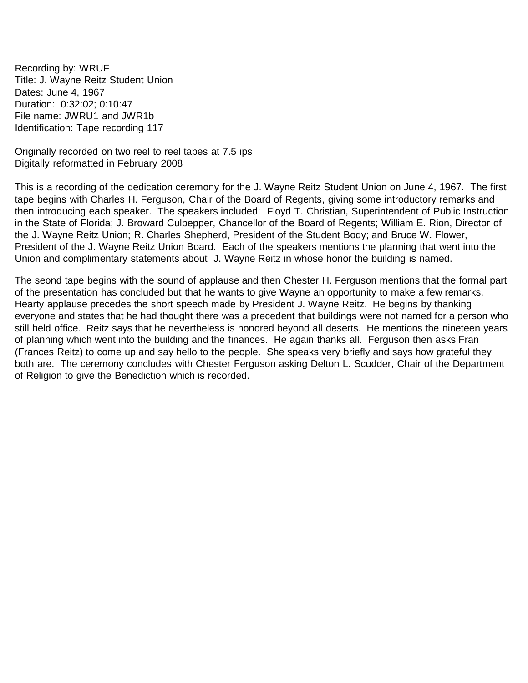<span id="page-4-0"></span>Recording by: WRUF Title: J. Wayne Reitz Student Union Dates: June 4, 1967 Duration: 0:32:02; 0:10:47 File name: JWRU1 and JWR1b Identification: Tape recording 117

Originally recorded on two reel to reel tapes at 7.5 ips Digitally reformatted in February 2008

This is a recording of the dedication ceremony for the J. Wayne Reitz Student Union on June 4, 1967. The first tape begins with Charles H. Ferguson, Chair of the Board of Regents, giving some introductory remarks and then introducing each speaker. The speakers included: Floyd T. Christian, Superintendent of Public Instruction in the State of Florida; J. Broward Culpepper, Chancellor of the Board of Regents; William E. Rion, Director of the J. Wayne Reitz Union; R. Charles Shepherd, President of the Student Body; and Bruce W. Flower, President of the J. Wayne Reitz Union Board. Each of the speakers mentions the planning that went into the Union and complimentary statements about J. Wayne Reitz in whose honor the building is named.

The seond tape begins with the sound of applause and then Chester H. Ferguson mentions that the formal part of the presentation has concluded but that he wants to give Wayne an opportunity to make a few remarks. Hearty applause precedes the short speech made by President J. Wayne Reitz. He begins by thanking everyone and states that he had thought there was a precedent that buildings were not named for a person who still held office. Reitz says that he nevertheless is honored beyond all deserts. He mentions the nineteen years of planning which went into the building and the finances. He again thanks all. Ferguson then asks Fran (Frances Reitz) to come up and say hello to the people. She speaks very briefly and says how grateful they both are. The ceremony concludes with Chester Ferguson asking Delton L. Scudder, Chair of the Department of Religion to give the Benediction which is recorded.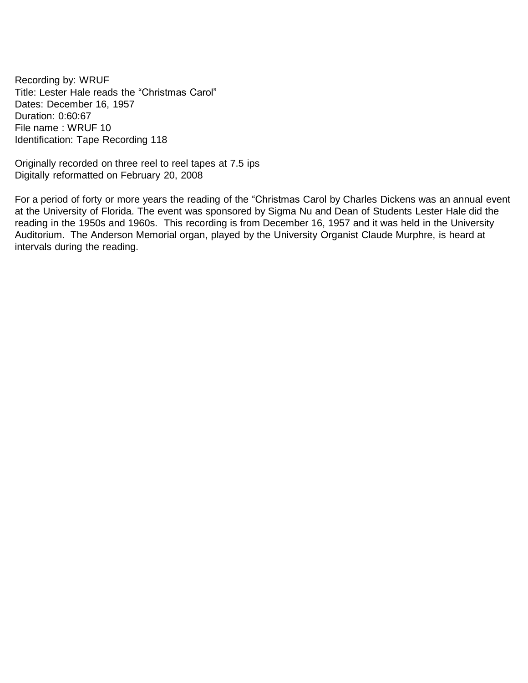<span id="page-5-0"></span>Recording by: WRUF Title: Lester Hale reads the "Christmas Carol" Dates: December 16, 1957 Duration: 0:60:67 File name : WRUF 10 Identification: Tape Recording 118

Originally recorded on three reel to reel tapes at 7.5 ips Digitally reformatted on February 20, 2008

For a period of forty or more years the reading of the "Christmas Carol by Charles Dickens was an annual event at the University of Florida. The event was sponsored by Sigma Nu and Dean of Students Lester Hale did the reading in the 1950s and 1960s. This recording is from December 16, 1957 and it was held in the University Auditorium. The Anderson Memorial organ, played by the University Organist Claude Murphre, is heard at intervals during the reading.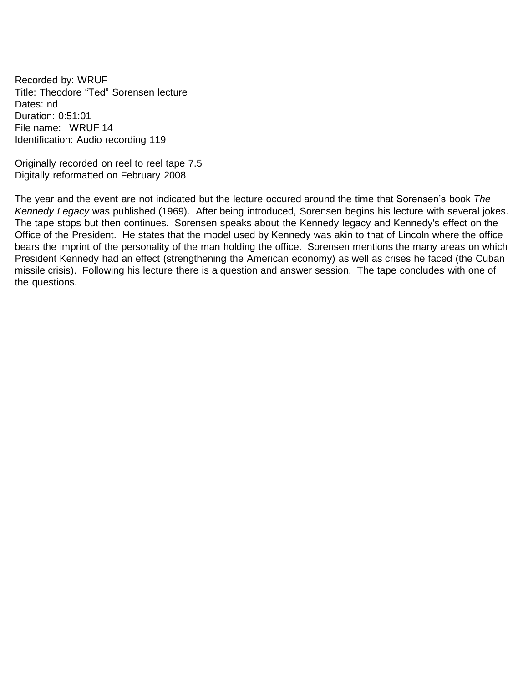<span id="page-6-0"></span>Recorded by: WRUF Title: Theodore "Ted" Sorensen lecture Dates: nd Duration: 0:51:01 File name: WRUF 14 Identification: Audio recording 119

Originally recorded on reel to reel tape 7.5 Digitally reformatted on February 2008

The year and the event are not indicated but the lecture occured around the time that Sorensen's book *The Kennedy Legacy* was published (1969). After being introduced, Sorensen begins his lecture with several jokes. The tape stops but then continues. Sorensen speaks about the Kennedy legacy and Kennedy's effect on the Office of the President. He states that the model used by Kennedy was akin to that of Lincoln where the office bears the imprint of the personality of the man holding the office. Sorensen mentions the many areas on which President Kennedy had an effect (strengthening the American economy) as well as crises he faced (the Cuban missile crisis). Following his lecture there is a question and answer session. The tape concludes with one of the questions.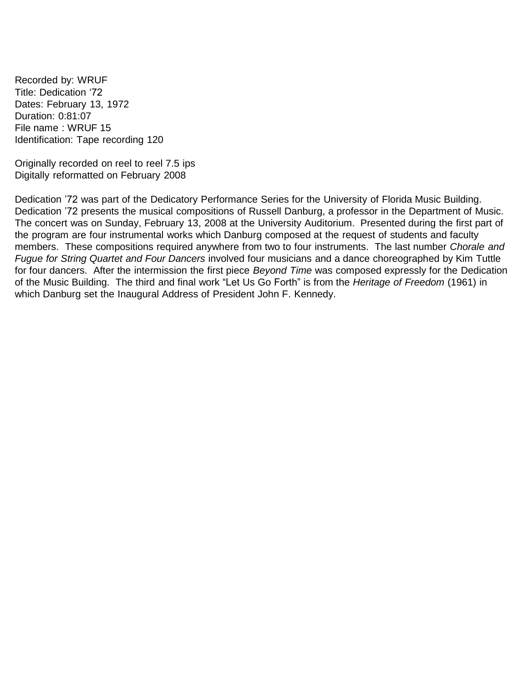<span id="page-7-0"></span>Recorded by: WRUF Title: Dedication '72 Dates: February 13, 1972 Duration: 0:81:07 File name : WRUF 15 Identification: Tape recording 120

Originally recorded on reel to reel 7.5 ips Digitally reformatted on February 2008

Dedication '72 was part of the Dedicatory Performance Series for the University of Florida Music Building. Dedication '72 presents the musical compositions of Russell Danburg, a professor in the Department of Music. The concert was on Sunday, February 13, 2008 at the University Auditorium. Presented during the first part of the program are four instrumental works which Danburg composed at the request of students and faculty members. These compositions required anywhere from two to four instruments. The last number *Chorale and Fugue for String Quartet and Four Dancers* involved four musicians and a dance choreographed by Kim Tuttle for four dancers. After the intermission the first piece *Beyond Time* was composed expressly for the Dedication of the Music Building. The third and final work "Let Us Go Forth" is from the *Heritage of Freedom* (1961) in which Danburg set the Inaugural Address of President John F. Kennedy.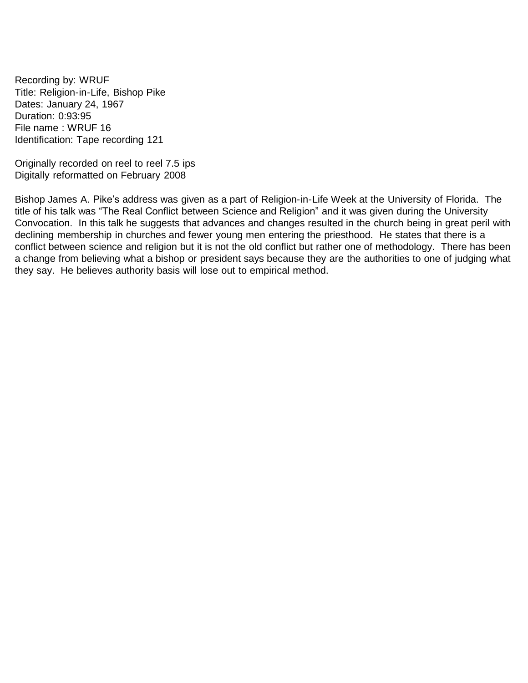<span id="page-8-0"></span>Recording by: WRUF Title: Religion-in-Life, Bishop Pike Dates: January 24, 1967 Duration: 0:93:95 File name : WRUF 16 Identification: Tape recording 121

Originally recorded on reel to reel 7.5 ips Digitally reformatted on February 2008

Bishop James A. Pike's address was given as a part of Religion-in-Life Week at the University of Florida. The title of his talk was "The Real Conflict between Science and Religion" and it was given during the University Convocation. In this talk he suggests that advances and changes resulted in the church being in great peril with declining membership in churches and fewer young men entering the priesthood. He states that there is a conflict between science and religion but it is not the old conflict but rather one of methodology. There has been a change from believing what a bishop or president says because they are the authorities to one of judging what they say. He believes authority basis will lose out to empirical method.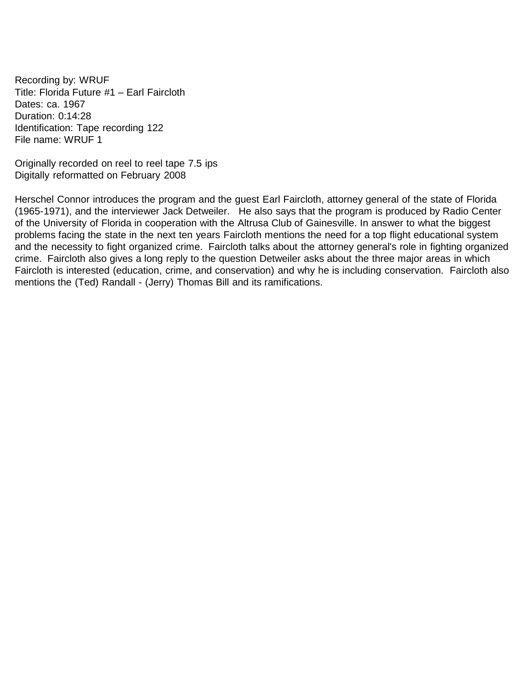<span id="page-9-0"></span>Recording by: WRUF Title: Florida Future #1 – Earl Faircloth Dates: ca. 1967 Duration: 0:14:28 Identification: Tape recording 122 File name: WRUF 1

Originally recorded on reel to reel tape 7.5 ips Digitally reformatted on February 2008

Herschel Connor introduces the program and the guest Earl Faircloth, attorney general of the state of Florida (1965-1971), and the interviewer Jack Detweiler. He also says that the program is produced by Radio Center of the University of Florida in cooperation with the Altrusa Club of Gainesville. In answer to what the biggest problems facing the state in the next ten years Faircloth mentions the need for a top flight educational system and the necessity to fight organized crime. Faircloth talks about the attorney general's role in fighting organized crime. Faircloth also gives a long reply to the question Detweiler asks about the three major areas in which Faircloth is interested (education, crime, and conservation) and why he is including conservation. Faircloth also mentions the (Ted) Randall - (Jerry) Thomas Bill and its ramifications.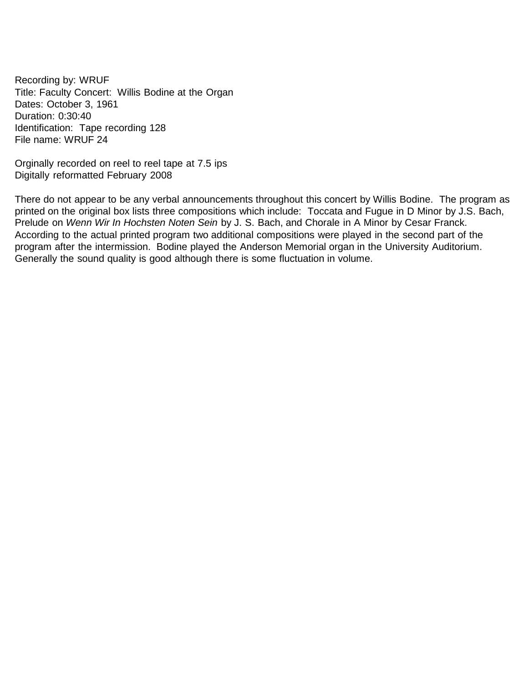<span id="page-10-0"></span>Recording by: WRUF Title: Faculty Concert: Willis Bodine at the Organ Dates: October 3, 1961 Duration: 0:30:40 Identification: Tape recording 128 File name: WRUF 24

Orginally recorded on reel to reel tape at 7.5 ips Digitally reformatted February 2008

There do not appear to be any verbal announcements throughout this concert by Willis Bodine. The program as printed on the original box lists three compositions which include: Toccata and Fugue in D Minor by J.S. Bach, Prelude on *Wenn Wir In Hochsten Noten Sein* by J. S. Bach, and Chorale in A Minor by Cesar Franck. According to the actual printed program two additional compositions were played in the second part of the program after the intermission. Bodine played the Anderson Memorial organ in the University Auditorium. Generally the sound quality is good although there is some fluctuation in volume.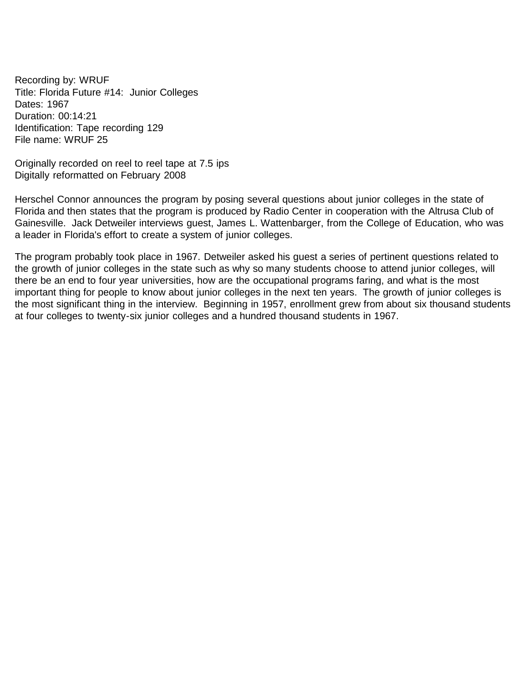<span id="page-11-0"></span>Recording by: WRUF Title: Florida Future #14: Junior Colleges Dates: 1967 Duration: 00:14:21 Identification: Tape recording 129 File name: WRUF 25

Originally recorded on reel to reel tape at 7.5 ips Digitally reformatted on February 2008

Herschel Connor announces the program by posing several questions about junior colleges in the state of Florida and then states that the program is produced by Radio Center in cooperation with the Altrusa Club of Gainesville. Jack Detweiler interviews guest, James L. Wattenbarger, from the College of Education, who was a leader in Florida's effort to create a system of junior colleges.

The program probably took place in 1967. Detweiler asked his guest a series of pertinent questions related to the growth of junior colleges in the state such as why so many students choose to attend junior colleges, will there be an end to four year universities, how are the occupational programs faring, and what is the most important thing for people to know about junior colleges in the next ten years. The growth of junior colleges is the most significant thing in the interview. Beginning in 1957, enrollment grew from about six thousand students at four colleges to twenty-six junior colleges and a hundred thousand students in 1967.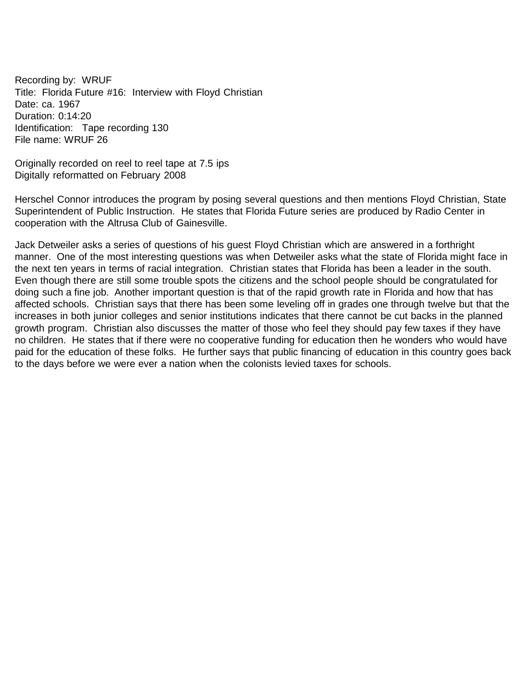<span id="page-12-0"></span>Recording by: WRUF Title: Florida Future #16: Interview with Floyd Christian Date: ca. 1967 Duration: 0:14:20 Identification: Tape recording 130 File name: WRUF 26

Originally recorded on reel to reel tape at 7.5 ips Digitally reformatted on February 2008

Herschel Connor introduces the program by posing several questions and then mentions Floyd Christian, State Superintendent of Public Instruction. He states that Florida Future series are produced by Radio Center in cooperation with the Altrusa Club of Gainesville.

Jack Detweiler asks a series of questions of his guest Floyd Christian which are answered in a forthright manner. One of the most interesting questions was when Detweiler asks what the state of Florida might face in the next ten years in terms of racial integration. Christian states that Florida has been a leader in the south. Even though there are still some trouble spots the citizens and the school people should be congratulated for doing such a fine job. Another important question is that of the rapid growth rate in Florida and how that has affected schools. Christian says that there has been some leveling off in grades one through twelve but that the increases in both junior colleges and senior institutions indicates that there cannot be cut backs in the planned growth program. Christian also discusses the matter of those who feel they should pay few taxes if they have no children. He states that if there were no cooperative funding for education then he wonders who would have paid for the education of these folks. He further says that public financing of education in this country goes back to the days before we were ever a nation when the colonists levied taxes for schools.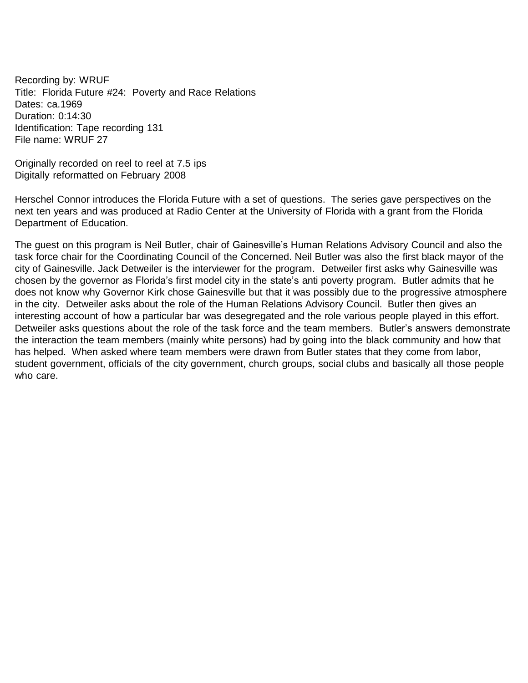<span id="page-13-0"></span>Recording by: WRUF Title: Florida Future #24: Poverty and Race Relations Dates: ca.1969 Duration: 0:14:30 Identification: Tape recording 131 File name: WRUF 27

Originally recorded on reel to reel at 7.5 ips Digitally reformatted on February 2008

Herschel Connor introduces the Florida Future with a set of questions. The series gave perspectives on the next ten years and was produced at Radio Center at the University of Florida with a grant from the Florida Department of Education.

The guest on this program is Neil Butler, chair of Gainesville's Human Relations Advisory Council and also the task force chair for the Coordinating Council of the Concerned. Neil Butler was also the first black mayor of the city of Gainesville. Jack Detweiler is the interviewer for the program. Detweiler first asks why Gainesville was chosen by the governor as Florida's first model city in the state's anti poverty program. Butler admits that he does not know why Governor Kirk chose Gainesville but that it was possibly due to the progressive atmosphere in the city. Detweiler asks about the role of the Human Relations Advisory Council. Butler then gives an interesting account of how a particular bar was desegregated and the role various people played in this effort. Detweiler asks questions about the role of the task force and the team members. Butler's answers demonstrate the interaction the team members (mainly white persons) had by going into the black community and how that has helped. When asked where team members were drawn from Butler states that they come from labor, student government, officials of the city government, church groups, social clubs and basically all those people who care.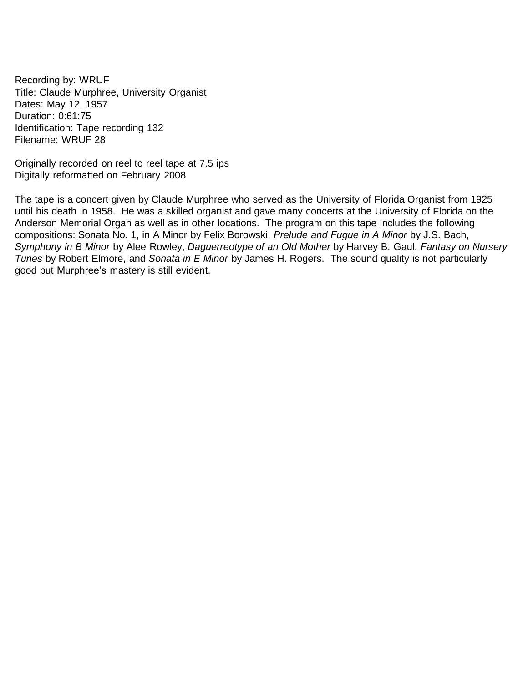Recording by: WRUF Title: Claude Murphree, University Organist Dates: May 12, 1957 Duration: 0:61:75 Identification: Tape recording 132 Filename: WRUF 28

Originally recorded on reel to reel tape at 7.5 ips Digitally reformatted on February 2008

The tape is a concert given by Claude Murphree who served as the University of Florida Organist from 1925 until his death in 1958. He was a skilled organist and gave many concerts at the University of Florida on the Anderson Memorial Organ as well as in other locations. The program on this tape includes the following compositions: Sonata No. 1, in A Minor by Felix Borowski, *Prelude and Fugue in A Minor* by J.S. Bach, *Symphony in B Minor* by Alee Rowley, *Daguerreotype of an Old Mother* by Harvey B. Gaul, *Fantasy on Nursery Tunes* by Robert Elmore, and *Sonata in E Minor* by James H. Rogers. The sound quality is not particularly good but Murphree's mastery is still evident.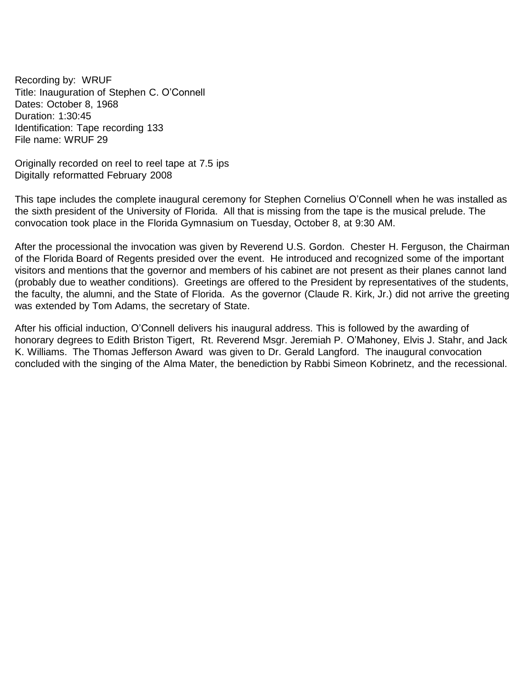<span id="page-15-0"></span>Recording by: WRUF Title: Inauguration of Stephen C. O'Connell Dates: October 8, 1968 Duration: 1:30:45 Identification: Tape recording 133 File name: WRUF 29

Originally recorded on reel to reel tape at 7.5 ips Digitally reformatted February 2008

This tape includes the complete inaugural ceremony for Stephen Cornelius O'Connell when he was installed as the sixth president of the University of Florida. All that is missing from the tape is the musical prelude. The convocation took place in the Florida Gymnasium on Tuesday, October 8, at 9:30 AM.

After the processional the invocation was given by Reverend U.S. Gordon. Chester H. Ferguson, the Chairman of the Florida Board of Regents presided over the event. He introduced and recognized some of the important visitors and mentions that the governor and members of his cabinet are not present as their planes cannot land (probably due to weather conditions). Greetings are offered to the President by representatives of the students, the faculty, the alumni, and the State of Florida. As the governor (Claude R. Kirk, Jr.) did not arrive the greeting was extended by Tom Adams, the secretary of State.

After his official induction, O'Connell delivers his inaugural address. This is followed by the awarding of honorary degrees to Edith Briston Tigert, Rt. Reverend Msgr. Jeremiah P. O'Mahoney, Elvis J. Stahr, and Jack K. Williams. The Thomas Jefferson Award was given to Dr. Gerald Langford. The inaugural convocation concluded with the singing of the Alma Mater, the benediction by Rabbi Simeon Kobrinetz, and the recessional.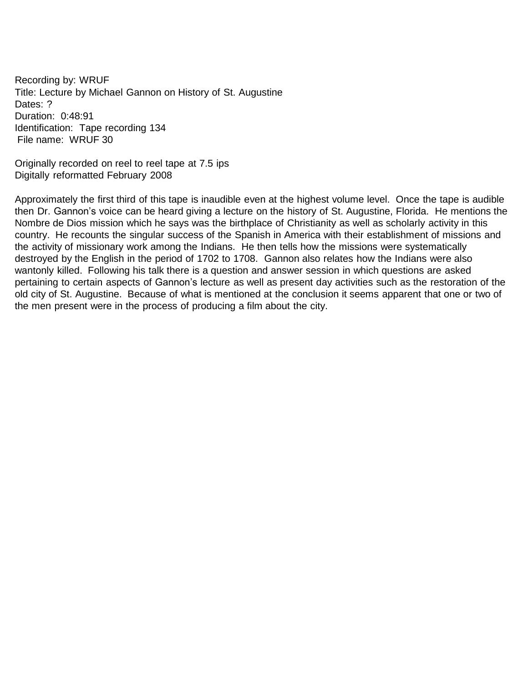<span id="page-16-0"></span>Recording by: WRUF Title: Lecture by Michael Gannon on History of St. Augustine Dates: ? Duration: 0:48:91 Identification: Tape recording 134 File name: WRUF 30

Originally recorded on reel to reel tape at 7.5 ips Digitally reformatted February 2008

Approximately the first third of this tape is inaudible even at the highest volume level. Once the tape is audible then Dr. Gannon's voice can be heard giving a lecture on the history of St. Augustine, Florida. He mentions the Nombre de Dios mission which he says was the birthplace of Christianity as well as scholarly activity in this country. He recounts the singular success of the Spanish in America with their establishment of missions and the activity of missionary work among the Indians. He then tells how the missions were systematically destroyed by the English in the period of 1702 to 1708. Gannon also relates how the Indians were also wantonly killed. Following his talk there is a question and answer session in which questions are asked pertaining to certain aspects of Gannon's lecture as well as present day activities such as the restoration of the old city of St. Augustine. Because of what is mentioned at the conclusion it seems apparent that one or two of the men present were in the process of producing a film about the city.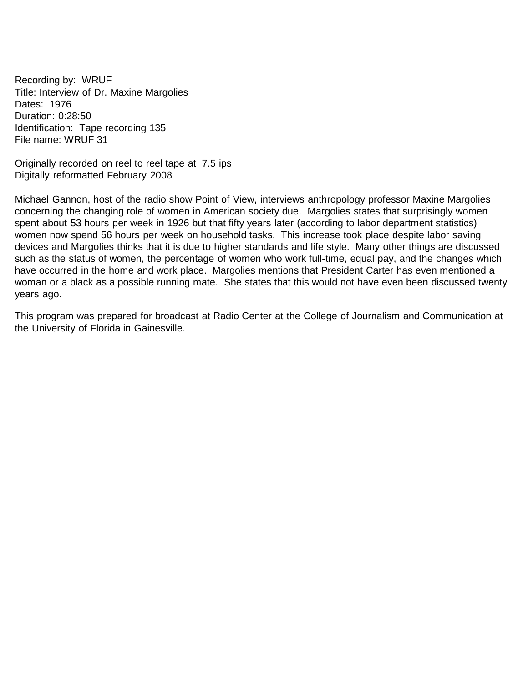<span id="page-17-0"></span>Recording by: WRUF Title: Interview of Dr. Maxine Margolies Dates: 1976 Duration: 0:28:50 Identification: Tape recording 135 File name: WRUF 31

Originally recorded on reel to reel tape at 7.5 ips Digitally reformatted February 2008

Michael Gannon, host of the radio show Point of View, interviews anthropology professor Maxine Margolies concerning the changing role of women in American society due. Margolies states that surprisingly women spent about 53 hours per week in 1926 but that fifty years later (according to labor department statistics) women now spend 56 hours per week on household tasks. This increase took place despite labor saving devices and Margolies thinks that it is due to higher standards and life style. Many other things are discussed such as the status of women, the percentage of women who work full-time, equal pay, and the changes which have occurred in the home and work place. Margolies mentions that President Carter has even mentioned a woman or a black as a possible running mate. She states that this would not have even been discussed twenty years ago.

This program was prepared for broadcast at Radio Center at the College of Journalism and Communication at the University of Florida in Gainesville.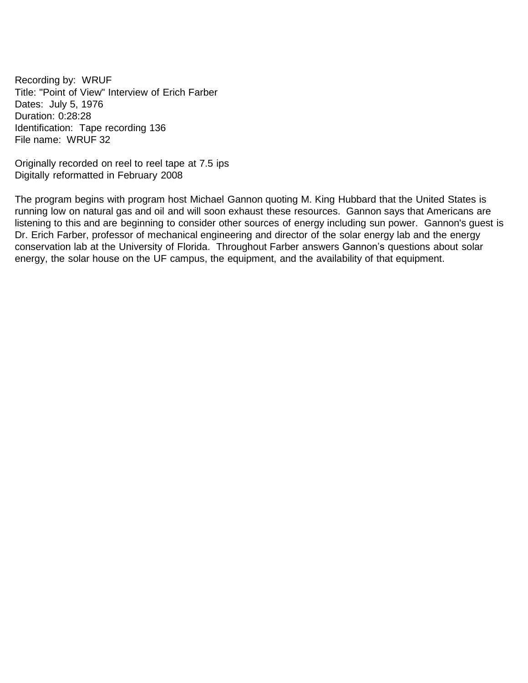<span id="page-18-0"></span>Recording by: WRUF Title: "Point of View" Interview of Erich Farber Dates: July 5, 1976 Duration: 0:28:28 Identification: Tape recording 136 File name: WRUF 32

Originally recorded on reel to reel tape at 7.5 ips Digitally reformatted in February 2008

The program begins with program host Michael Gannon quoting M. King Hubbard that the United States is running low on natural gas and oil and will soon exhaust these resources. Gannon says that Americans are listening to this and are beginning to consider other sources of energy including sun power. Gannon's guest is Dr. Erich Farber, professor of mechanical engineering and director of the solar energy lab and the energy conservation lab at the University of Florida. Throughout Farber answers Gannon's questions about solar energy, the solar house on the UF campus, the equipment, and the availability of that equipment.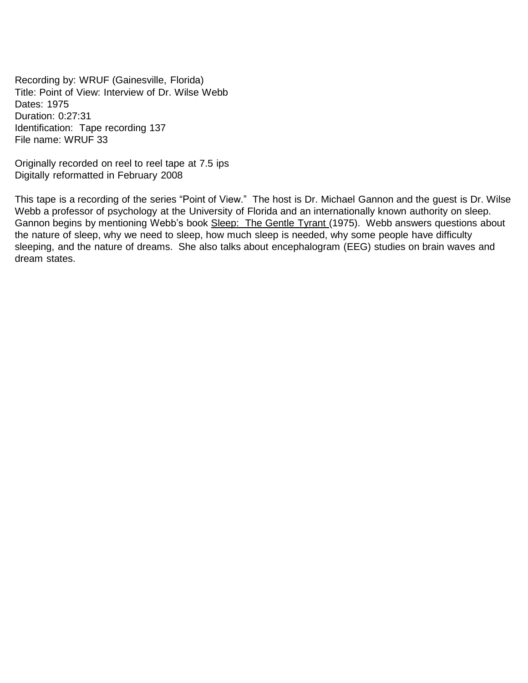<span id="page-19-0"></span>Recording by: WRUF (Gainesville, Florida) Title: Point of View: Interview of Dr. Wilse Webb Dates: 1975 Duration: 0:27:31 Identification: Tape recording 137 File name: WRUF 33

Originally recorded on reel to reel tape at 7.5 ips Digitally reformatted in February 2008

This tape is a recording of the series "Point of View." The host is Dr. Michael Gannon and the guest is Dr. Wilse Webb a professor of psychology at the University of Florida and an internationally known authority on sleep. Gannon begins by mentioning Webb's book Sleep: The Gentle Tyrant (1975). Webb answers questions about the nature of sleep, why we need to sleep, how much sleep is needed, why some people have difficulty sleeping, and the nature of dreams. She also talks about encephalogram (EEG) studies on brain waves and dream states.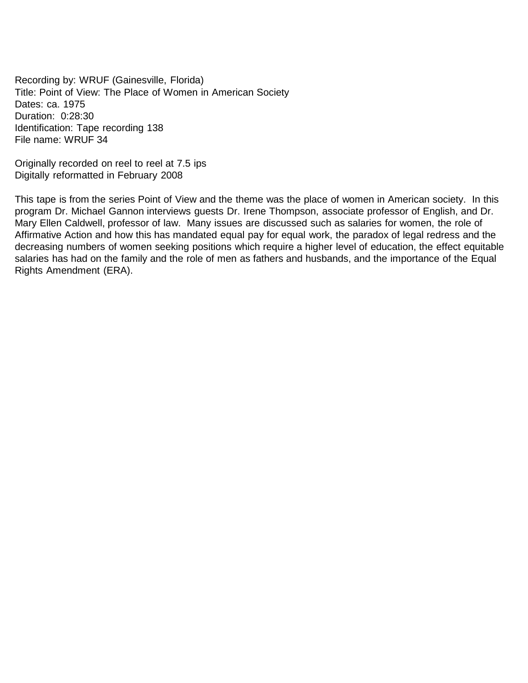<span id="page-20-0"></span>Recording by: WRUF (Gainesville, Florida) Title: Point of View: The Place of Women in American Society Dates: ca. 1975 Duration: 0:28:30 Identification: Tape recording 138 File name: WRUF 34

Originally recorded on reel to reel at 7.5 ips Digitally reformatted in February 2008

This tape is from the series Point of View and the theme was the place of women in American society. In this program Dr. Michael Gannon interviews guests Dr. Irene Thompson, associate professor of English, and Dr. Mary Ellen Caldwell, professor of law. Many issues are discussed such as salaries for women, the role of Affirmative Action and how this has mandated equal pay for equal work, the paradox of legal redress and the decreasing numbers of women seeking positions which require a higher level of education, the effect equitable salaries has had on the family and the role of men as fathers and husbands, and the importance of the Equal Rights Amendment (ERA).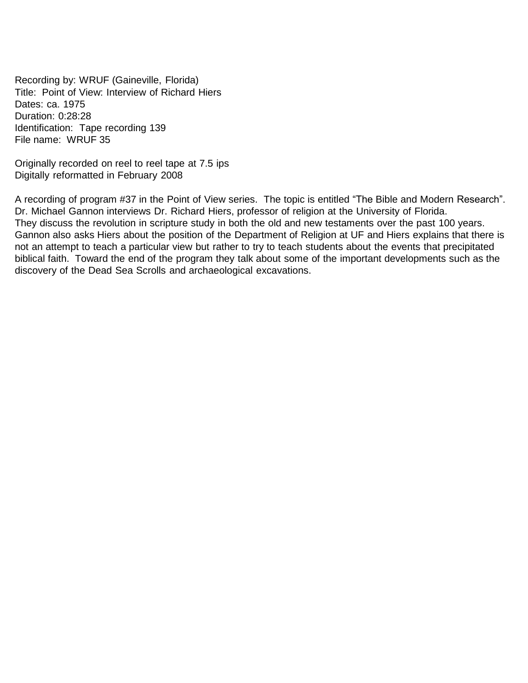<span id="page-21-0"></span>Recording by: WRUF (Gaineville, Florida) Title: Point of View: Interview of Richard Hiers Dates: ca. 1975 Duration: 0:28:28 Identification: Tape recording 139 File name: WRUF 35

Originally recorded on reel to reel tape at 7.5 ips Digitally reformatted in February 2008

A recording of program #37 in the Point of View series. The topic is entitled "The Bible and Modern Research". Dr. Michael Gannon interviews Dr. Richard Hiers, professor of religion at the University of Florida. They discuss the revolution in scripture study in both the old and new testaments over the past 100 years. Gannon also asks Hiers about the position of the Department of Religion at UF and Hiers explains that there is not an attempt to teach a particular view but rather to try to teach students about the events that precipitated biblical faith. Toward the end of the program they talk about some of the important developments such as the discovery of the Dead Sea Scrolls and archaeological excavations.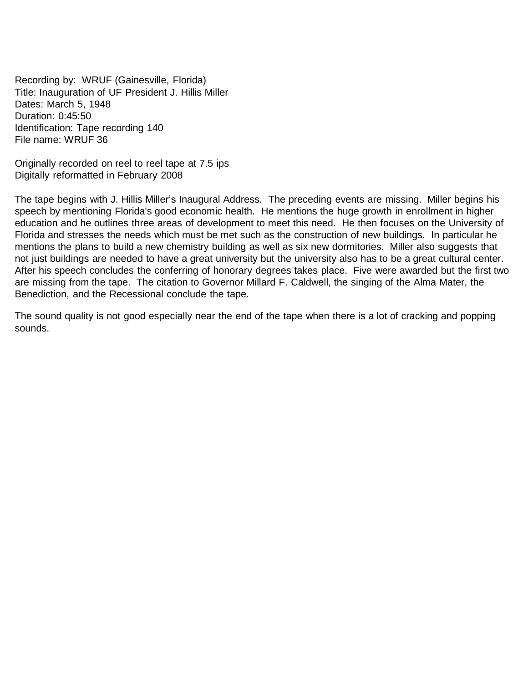<span id="page-22-0"></span>Recording by: WRUF (Gainesville, Florida) Title: Inauguration of UF President J. Hillis Miller Dates: March 5, 1948 Duration: 0:45:50 Identification: Tape recording 140 File name: WRUF 36

Originally recorded on reel to reel tape at 7.5 ips Digitally reformatted in February 2008

The tape begins with J. Hillis Miller's Inaugural Address. The preceding events are missing. Miller begins his speech by mentioning Florida's good economic health. He mentions the huge growth in enrollment in higher education and he outlines three areas of development to meet this need. He then focuses on the University of Florida and stresses the needs which must be met such as the construction of new buildings. In particular he mentions the plans to build a new chemistry building as well as six new dormitories. Miller also suggests that not just buildings are needed to have a great university but the university also has to be a great cultural center. After his speech concludes the conferring of honorary degrees takes place. Five were awarded but the first two are missing from the tape. The citation to Governor Millard F. Caldwell, the singing of the Alma Mater, the Benediction, and the Recessional conclude the tape.

The sound quality is not good especially near the end of the tape when there is a lot of cracking and popping sounds.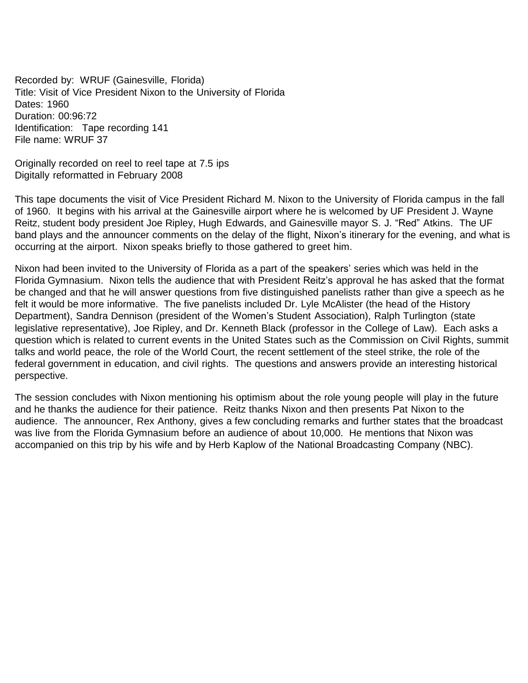<span id="page-23-0"></span>Recorded by: WRUF (Gainesville, Florida) Title: Visit of Vice President Nixon to the University of Florida Dates: 1960 Duration: 00:96:72 Identification: Tape recording 141 File name: WRUF 37

Originally recorded on reel to reel tape at 7.5 ips Digitally reformatted in February 2008

This tape documents the visit of Vice President Richard M. Nixon to the University of Florida campus in the fall of 1960. It begins with his arrival at the Gainesville airport where he is welcomed by UF President J. Wayne Reitz, student body president Joe Ripley, Hugh Edwards, and Gainesville mayor S. J. "Red" Atkins. The UF band plays and the announcer comments on the delay of the flight, Nixon's itinerary for the evening, and what is occurring at the airport. Nixon speaks briefly to those gathered to greet him.

Nixon had been invited to the University of Florida as a part of the speakers' series which was held in the Florida Gymnasium. Nixon tells the audience that with President Reitz's approval he has asked that the format be changed and that he will answer questions from five distinguished panelists rather than give a speech as he felt it would be more informative. The five panelists included Dr. Lyle McAlister (the head of the History Department), Sandra Dennison (president of the Women's Student Association), Ralph Turlington (state legislative representative), Joe Ripley, and Dr. Kenneth Black (professor in the College of Law). Each asks a question which is related to current events in the United States such as the Commission on Civil Rights, summit talks and world peace, the role of the World Court, the recent settlement of the steel strike, the role of the federal government in education, and civil rights. The questions and answers provide an interesting historical perspective.

The session concludes with Nixon mentioning his optimism about the role young people will play in the future and he thanks the audience for their patience. Reitz thanks Nixon and then presents Pat Nixon to the audience. The announcer, Rex Anthony, gives a few concluding remarks and further states that the broadcast was live from the Florida Gymnasium before an audience of about 10,000. He mentions that Nixon was accompanied on this trip by his wife and by Herb Kaplow of the National Broadcasting Company (NBC).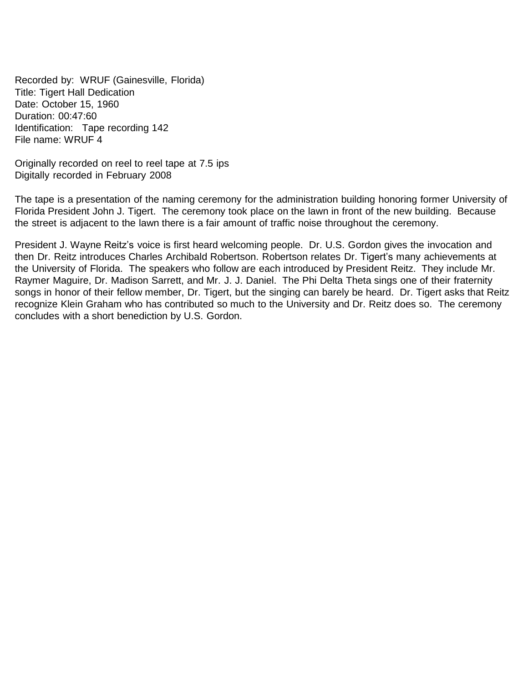<span id="page-24-0"></span>Recorded by: WRUF (Gainesville, Florida) Title: Tigert Hall Dedication Date: October 15, 1960 Duration: 00:47:60 Identification: Tape recording 142 File name: WRUF 4

Originally recorded on reel to reel tape at 7.5 ips Digitally recorded in February 2008

The tape is a presentation of the naming ceremony for the administration building honoring former University of Florida President John J. Tigert. The ceremony took place on the lawn in front of the new building. Because the street is adjacent to the lawn there is a fair amount of traffic noise throughout the ceremony.

President J. Wayne Reitz's voice is first heard welcoming people. Dr. U.S. Gordon gives the invocation and then Dr. Reitz introduces Charles Archibald Robertson. Robertson relates Dr. Tigert's many achievements at the University of Florida. The speakers who follow are each introduced by President Reitz. They include Mr. Raymer Maguire, Dr. Madison Sarrett, and Mr. J. J. Daniel. The Phi Delta Theta sings one of their fraternity songs in honor of their fellow member, Dr. Tigert, but the singing can barely be heard. Dr. Tigert asks that Reitz recognize Klein Graham who has contributed so much to the University and Dr. Reitz does so. The ceremony concludes with a short benediction by U.S. Gordon.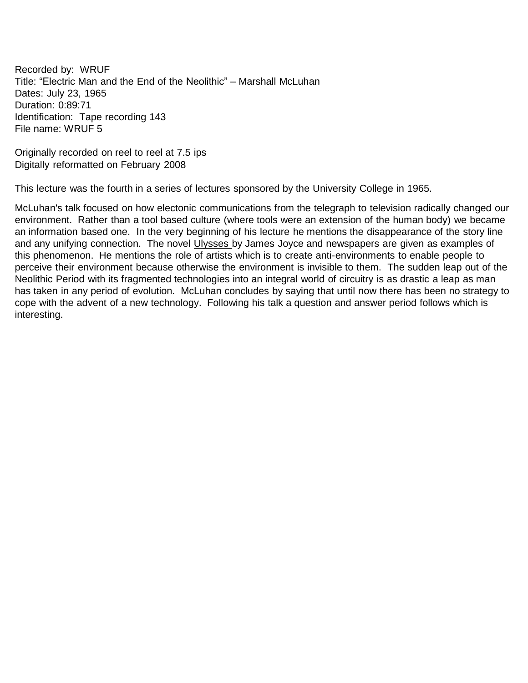<span id="page-25-0"></span>Recorded by: WRUF Title: "Electric Man and the End of the Neolithic" – Marshall McLuhan Dates: July 23, 1965 Duration: 0:89:71 Identification: Tape recording 143 File name: WRUF 5

Originally recorded on reel to reel at 7.5 ips Digitally reformatted on February 2008

This lecture was the fourth in a series of lectures sponsored by the University College in 1965.

McLuhan's talk focused on how electonic communications from the telegraph to television radically changed our environment. Rather than a tool based culture (where tools were an extension of the human body) we became an information based one. In the very beginning of his lecture he mentions the disappearance of the story line and any unifying connection. The novel Ulysses by James Joyce and newspapers are given as examples of this phenomenon. He mentions the role of artists which is to create anti-environments to enable people to perceive their environment because otherwise the environment is invisible to them. The sudden leap out of the Neolithic Period with its fragmented technologies into an integral world of circuitry is as drastic a leap as man has taken in any period of evolution. McLuhan concludes by saying that until now there has been no strategy to cope with the advent of a new technology. Following his talk a question and answer period follows which is interesting.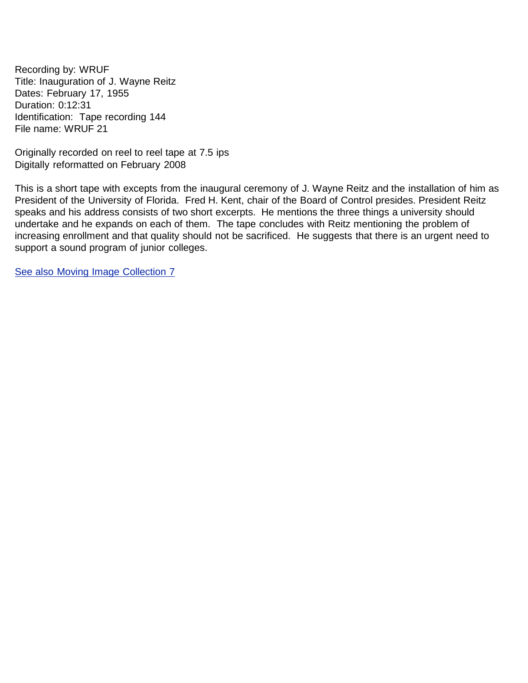<span id="page-26-0"></span>Recording by: WRUF Title: Inauguration of J. Wayne Reitz Dates: February 17, 1955 Duration: 0:12:31 Identification: Tape recording 144 File name: WRUF 21

Originally recorded on reel to reel tape at 7.5 ips Digitally reformatted on February 2008

This is a short tape with excepts from the inaugural ceremony of J. Wayne Reitz and the installation of him as President of the University of Florida. Fred H. Kent, chair of the Board of Control presides. President Reitz speaks and his address consists of two short excerpts. He mentions the three things a university should undertake and he expands on each of them. The tape concludes with Reitz mentioning the problem of increasing enrollment and that quality should not be sacrificed. He suggests that there is an urgent need to support a sound program of junior colleges.

See also Moving Image [Collection](https://www.uflib.ufl.edu/spec/archome/MIC7.htm) 7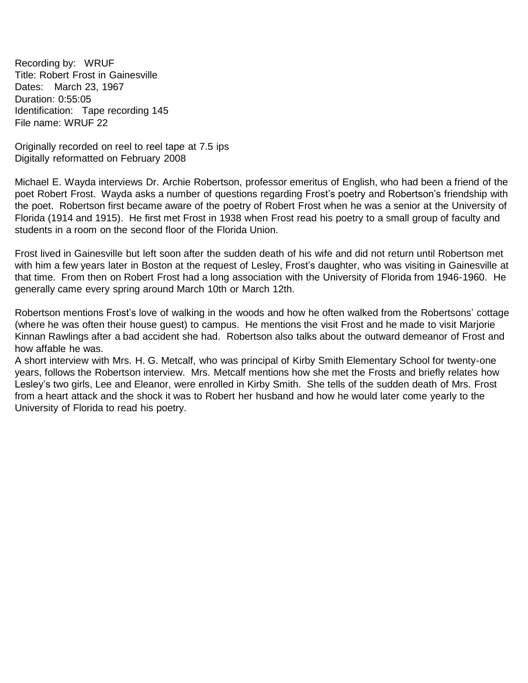<span id="page-27-0"></span>Recording by: WRUF Title: Robert Frost in Gainesville Dates: March 23, 1967 Duration: 0:55:05 Identification: Tape recording 145 File name: WRUF 22

Originally recorded on reel to reel tape at 7.5 ips Digitally reformatted on February 2008

Michael E. Wayda interviews Dr. Archie Robertson, professor emeritus of English, who had been a friend of the poet Robert Frost. Wayda asks a number of questions regarding Frost's poetry and Robertson's friendship with the poet. Robertson first became aware of the poetry of Robert Frost when he was a senior at the University of Florida (1914 and 1915). He first met Frost in 1938 when Frost read his poetry to a small group of faculty and students in a room on the second floor of the Florida Union.

Frost lived in Gainesville but left soon after the sudden death of his wife and did not return until Robertson met with him a few years later in Boston at the request of Lesley, Frost's daughter, who was visiting in Gainesville at that time. From then on Robert Frost had a long association with the University of Florida from 1946-1960. He generally came every spring around March 10th or March 12th.

Robertson mentions Frost's love of walking in the woods and how he often walked from the Robertsons' cottage (where he was often their house guest) to campus. He mentions the visit Frost and he made to visit Marjorie Kinnan Rawlings after a bad accident she had. Robertson also talks about the outward demeanor of Frost and how affable he was.

A short interview with Mrs. H. G. Metcalf, who was principal of Kirby Smith Elementary School for twenty-one years, follows the Robertson interview. Mrs. Metcalf mentions how she met the Frosts and briefly relates how Lesley's two girls, Lee and Eleanor, were enrolled in Kirby Smith. She tells of the sudden death of Mrs. Frost from a heart attack and the shock it was to Robert her husband and how he would later come yearly to the University of Florida to read his poetry.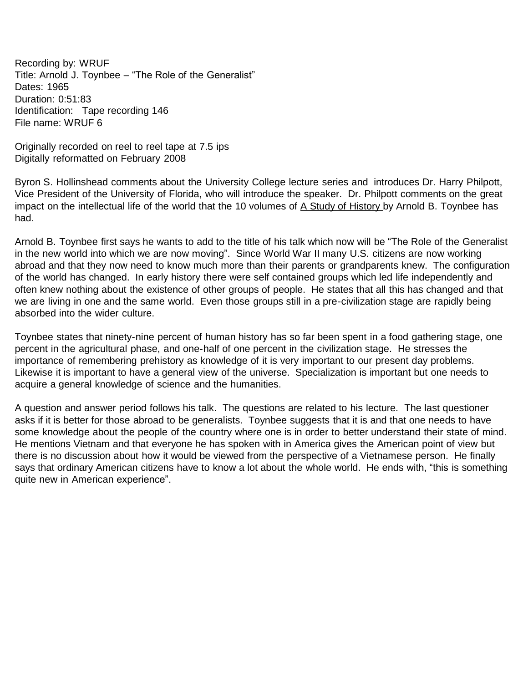<span id="page-28-0"></span>Recording by: WRUF Title: Arnold J. Toynbee – "The Role of the Generalist" Dates: 1965 Duration: 0:51:83 Identification: Tape recording 146 File name: WRUF 6

Originally recorded on reel to reel tape at 7.5 ips Digitally reformatted on February 2008

Byron S. Hollinshead comments about the University College lecture series and introduces Dr. Harry Philpott, Vice President of the University of Florida, who will introduce the speaker. Dr. Philpott comments on the great impact on the intellectual life of the world that the 10 volumes of A Study of History by Arnold B. Toynbee has had.

Arnold B. Toynbee first says he wants to add to the title of his talk which now will be "The Role of the Generalist in the new world into which we are now moving". Since World War II many U.S. citizens are now working abroad and that they now need to know much more than their parents or grandparents knew. The configuration of the world has changed. In early history there were self contained groups which led life independently and often knew nothing about the existence of other groups of people. He states that all this has changed and that we are living in one and the same world. Even those groups still in a pre-civilization stage are rapidly being absorbed into the wider culture.

Toynbee states that ninety-nine percent of human history has so far been spent in a food gathering stage, one percent in the agricultural phase, and one-half of one percent in the civilization stage. He stresses the importance of remembering prehistory as knowledge of it is very important to our present day problems. Likewise it is important to have a general view of the universe. Specialization is important but one needs to acquire a general knowledge of science and the humanities.

A question and answer period follows his talk. The questions are related to his lecture. The last questioner asks if it is better for those abroad to be generalists. Toynbee suggests that it is and that one needs to have some knowledge about the people of the country where one is in order to better understand their state of mind. He mentions Vietnam and that everyone he has spoken with in America gives the American point of view but there is no discussion about how it would be viewed from the perspective of a Vietnamese person. He finally says that ordinary American citizens have to know a lot about the whole world. He ends with, "this is something quite new in American experience".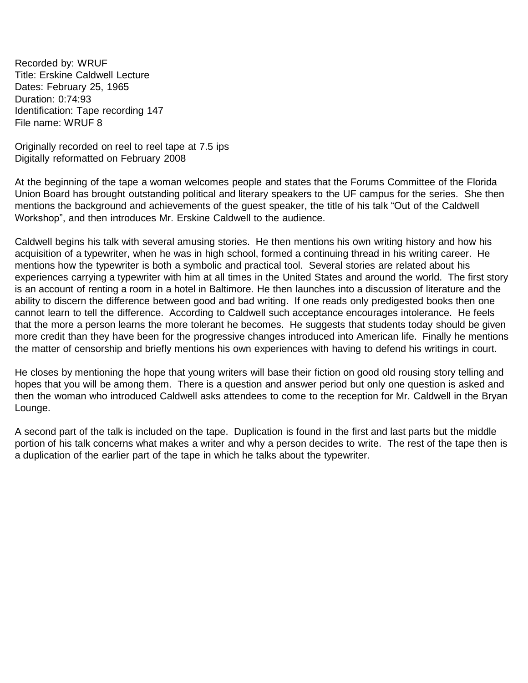<span id="page-29-0"></span>Recorded by: WRUF Title: Erskine Caldwell Lecture Dates: February 25, 1965 Duration: 0:74:93 Identification: Tape recording 147 File name: WRUF 8

Originally recorded on reel to reel tape at 7.5 ips Digitally reformatted on February 2008

At the beginning of the tape a woman welcomes people and states that the Forums Committee of the Florida Union Board has brought outstanding political and literary speakers to the UF campus for the series. She then mentions the background and achievements of the guest speaker, the title of his talk "Out of the Caldwell Workshop", and then introduces Mr. Erskine Caldwell to the audience.

Caldwell begins his talk with several amusing stories. He then mentions his own writing history and how his acquisition of a typewriter, when he was in high school, formed a continuing thread in his writing career. He mentions how the typewriter is both a symbolic and practical tool. Several stories are related about his experiences carrying a typewriter with him at all times in the United States and around the world. The first story is an account of renting a room in a hotel in Baltimore. He then launches into a discussion of literature and the ability to discern the difference between good and bad writing. If one reads only predigested books then one cannot learn to tell the difference. According to Caldwell such acceptance encourages intolerance. He feels that the more a person learns the more tolerant he becomes. He suggests that students today should be given more credit than they have been for the progressive changes introduced into American life. Finally he mentions the matter of censorship and briefly mentions his own experiences with having to defend his writings in court.

He closes by mentioning the hope that young writers will base their fiction on good old rousing story telling and hopes that you will be among them. There is a question and answer period but only one question is asked and then the woman who introduced Caldwell asks attendees to come to the reception for Mr. Caldwell in the Bryan Lounge.

A second part of the talk is included on the tape. Duplication is found in the first and last parts but the middle portion of his talk concerns what makes a writer and why a person decides to write. The rest of the tape then is a duplication of the earlier part of the tape in which he talks about the typewriter.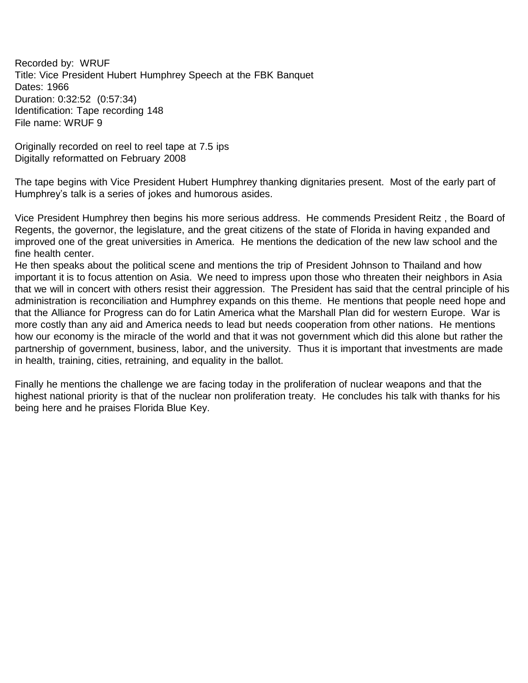<span id="page-30-0"></span>Recorded by: WRUF Title: Vice President Hubert Humphrey Speech at the FBK Banquet Dates: 1966 Duration: 0:32:52 (0:57:34) Identification: Tape recording 148 File name: WRUF 9

Originally recorded on reel to reel tape at 7.5 ips Digitally reformatted on February 2008

The tape begins with Vice President Hubert Humphrey thanking dignitaries present. Most of the early part of Humphrey's talk is a series of jokes and humorous asides.

Vice President Humphrey then begins his more serious address. He commends President Reitz , the Board of Regents, the governor, the legislature, and the great citizens of the state of Florida in having expanded and improved one of the great universities in America. He mentions the dedication of the new law school and the fine health center.

He then speaks about the political scene and mentions the trip of President Johnson to Thailand and how important it is to focus attention on Asia. We need to impress upon those who threaten their neighbors in Asia that we will in concert with others resist their aggression. The President has said that the central principle of his administration is reconciliation and Humphrey expands on this theme. He mentions that people need hope and that the Alliance for Progress can do for Latin America what the Marshall Plan did for western Europe. War is more costly than any aid and America needs to lead but needs cooperation from other nations. He mentions how our economy is the miracle of the world and that it was not government which did this alone but rather the partnership of government, business, labor, and the university. Thus it is important that investments are made in health, training, cities, retraining, and equality in the ballot.

Finally he mentions the challenge we are facing today in the proliferation of nuclear weapons and that the highest national priority is that of the nuclear non proliferation treaty. He concludes his talk with thanks for his being here and he praises Florida Blue Key.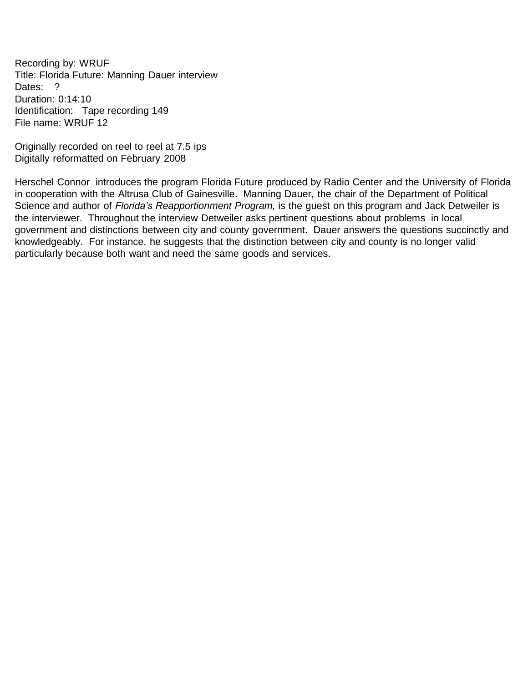<span id="page-31-0"></span>Recording by: WRUF Title: Florida Future: Manning Dauer interview Dates: ? Duration: 0:14:10 Identification: Tape recording 149 File name: WRUF 12

Originally recorded on reel to reel at 7.5 ips Digitally reformatted on February 2008

Herschel Connor introduces the program Florida Future produced by Radio Center and the University of Florida in cooperation with the Altrusa Club of Gainesville. Manning Dauer, the chair of the Department of Political Science and author of *Florida's Reapportionment Program,* is the guest on this program and Jack Detweiler is the interviewer. Throughout the interview Detweiler asks pertinent questions about problems in local government and distinctions between city and county government. Dauer answers the questions succinctly and knowledgeably. For instance, he suggests that the distinction between city and county is no longer valid particularly because both want and need the same goods and services.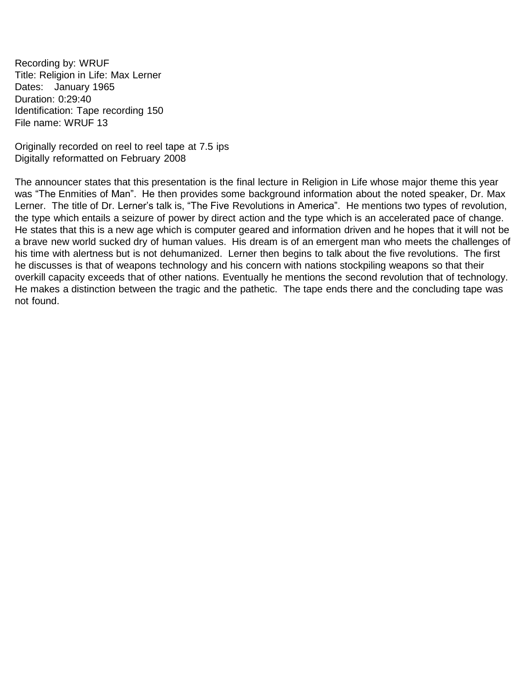<span id="page-32-0"></span>Recording by: WRUF Title: Religion in Life: Max Lerner Dates: January 1965 Duration: 0:29:40 Identification: Tape recording 150 File name: WRUF 13

Originally recorded on reel to reel tape at 7.5 ips Digitally reformatted on February 2008

The announcer states that this presentation is the final lecture in Religion in Life whose major theme this year was "The Enmities of Man". He then provides some background information about the noted speaker, Dr. Max Lerner. The title of Dr. Lerner's talk is, "The Five Revolutions in America". He mentions two types of revolution, the type which entails a seizure of power by direct action and the type which is an accelerated pace of change. He states that this is a new age which is computer geared and information driven and he hopes that it will not be a brave new world sucked dry of human values. His dream is of an emergent man who meets the challenges of his time with alertness but is not dehumanized. Lerner then begins to talk about the five revolutions. The first he discusses is that of weapons technology and his concern with nations stockpiling weapons so that their overkill capacity exceeds that of other nations. Eventually he mentions the second revolution that of technology. He makes a distinction between the tragic and the pathetic. The tape ends there and the concluding tape was not found.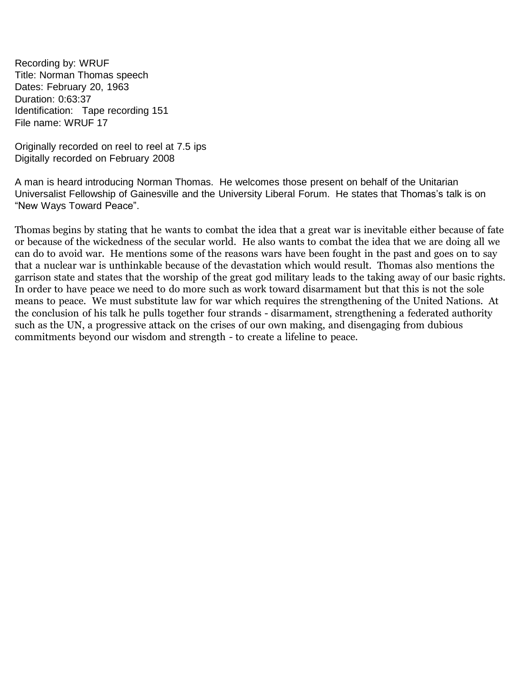<span id="page-33-0"></span>Recording by: WRUF Title: Norman Thomas speech Dates: February 20, 1963 Duration: 0:63:37 Identification: Tape recording 151 File name: WRUF 17

Originally recorded on reel to reel at 7.5 ips Digitally recorded on February 2008

A man is heard introducing Norman Thomas. He welcomes those present on behalf of the Unitarian Universalist Fellowship of Gainesville and the University Liberal Forum. He states that Thomas's talk is on "New Ways Toward Peace".

Thomas begins by stating that he wants to combat the idea that a great war is inevitable either because of fate or because of the wickedness of the secular world. He also wants to combat the idea that we are doing all we can do to avoid war. He mentions some of the reasons wars have been fought in the past and goes on to say that a nuclear war is unthinkable because of the devastation which would result. Thomas also mentions the garrison state and states that the worship of the great god military leads to the taking away of our basic rights. In order to have peace we need to do more such as work toward disarmament but that this is not the sole means to peace. We must substitute law for war which requires the strengthening of the United Nations. At the conclusion of his talk he pulls together four strands - disarmament, strengthening a federated authority such as the UN, a progressive attack on the crises of our own making, and disengaging from dubious commitments beyond our wisdom and strength - to create a lifeline to peace.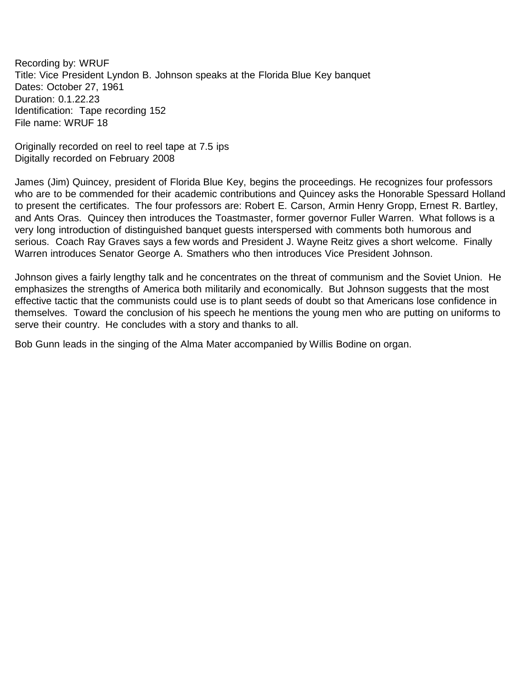<span id="page-34-0"></span>Recording by: WRUF Title: Vice President Lyndon B. Johnson speaks at the Florida Blue Key banquet Dates: October 27, 1961 Duration: 0.1.22.23 Identification: Tape recording 152 File name: WRUF 18

Originally recorded on reel to reel tape at 7.5 ips Digitally recorded on February 2008

James (Jim) Quincey, president of Florida Blue Key, begins the proceedings. He recognizes four professors who are to be commended for their academic contributions and Quincey asks the Honorable Spessard Holland to present the certificates. The four professors are: Robert E. Carson, Armin Henry Gropp, Ernest R. Bartley, and Ants Oras. Quincey then introduces the Toastmaster, former governor Fuller Warren. What follows is a very long introduction of distinguished banquet guests interspersed with comments both humorous and serious. Coach Ray Graves says a few words and President J. Wayne Reitz gives a short welcome. Finally Warren introduces Senator George A. Smathers who then introduces Vice President Johnson.

Johnson gives a fairly lengthy talk and he concentrates on the threat of communism and the Soviet Union. He emphasizes the strengths of America both militarily and economically. But Johnson suggests that the most effective tactic that the communists could use is to plant seeds of doubt so that Americans lose confidence in themselves. Toward the conclusion of his speech he mentions the young men who are putting on uniforms to serve their country. He concludes with a story and thanks to all.

Bob Gunn leads in the singing of the Alma Mater accompanied by Willis Bodine on organ.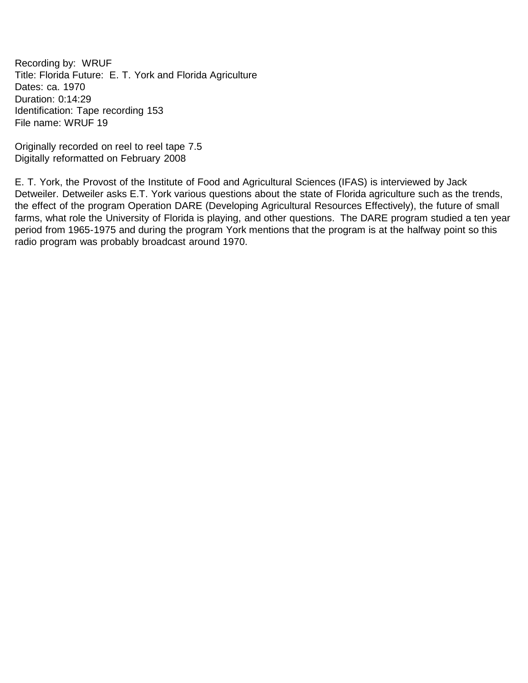<span id="page-35-0"></span>Recording by: WRUF Title: Florida Future: E. T. York and Florida Agriculture Dates: ca. 1970 Duration: 0:14:29 Identification: Tape recording 153 File name: WRUF 19

Originally recorded on reel to reel tape 7.5 Digitally reformatted on February 2008

E. T. York, the Provost of the Institute of Food and Agricultural Sciences (IFAS) is interviewed by Jack Detweiler. Detweiler asks E.T. York various questions about the state of Florida agriculture such as the trends, the effect of the program Operation DARE (Developing Agricultural Resources Effectively), the future of small farms, what role the University of Florida is playing, and other questions. The DARE program studied a ten year period from 1965-1975 and during the program York mentions that the program is at the halfway point so this radio program was probably broadcast around 1970.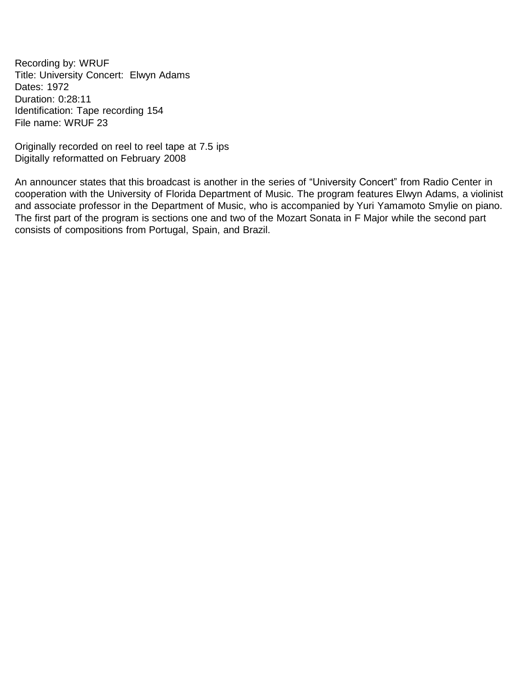<span id="page-36-0"></span>Recording by: WRUF Title: University Concert: Elwyn Adams Dates: 1972 Duration: 0:28:11 Identification: Tape recording 154 File name: WRUF 23

Originally recorded on reel to reel tape at 7.5 ips Digitally reformatted on February 2008

An announcer states that this broadcast is another in the series of "University Concert" from Radio Center in cooperation with the University of Florida Department of Music. The program features Elwyn Adams, a violinist and associate professor in the Department of Music, who is accompanied by Yuri Yamamoto Smylie on piano. The first part of the program is sections one and two of the Mozart Sonata in F Major while the second part consists of compositions from Portugal, Spain, and Brazil.